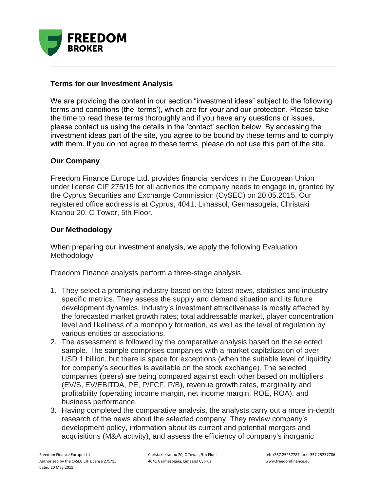

## **Terms for our Investment Analysis**

We are providing the content in our section "investment ideas" subject to the following terms and conditions (the 'terms'), which are for your and our protection. Please take the time to read these terms thoroughly and if you have any questions or issues, please contact us using the details in the 'contact' section below. By accessing the investment ideas part of the site, you agree to be bound by these terms and to comply with them. If you do not agree to these terms, please do not use this part of the site.

## **Our Company**

Freedom Finance Europe Ltd. provides financial services in the European Union under license CIF 275/15 for all activities the company needs to engage in, granted by the Cyprus Securities and Exchange Commission (CySEC) on 20.05.2015. Our registered office address is at Cyprus, 4041, Limassol, Germasogeia, Christaki Kranou 20, C Tower, 5th Floor.

## **Our Methodology**

When preparing our investment analysis, we apply the following Evaluation **Methodology** 

Freedom Finance analysts perform a three-stage analysis.

- 1. They select a promising industry based on the latest news, statistics and industryspecific metrics. They assess the supply and demand situation and its future development dynamics. Industry's investment attractiveness is mostly affected by the forecasted market growth rates; total addressable market, player concentration level and likeliness of a monopoly formation, as well as the level of regulation by various entities or associations.
- 2. The assessment is followed by the comparative analysis based on the selected sample. The sample comprises companies with a market capitalization of over USD 1 billion, but there is space for exceptions (when the suitable level of liquidity for company's securities is available on the stock exchange). The selected companies (peers) are being compared against each other based on multipliers (EV/S, EV/EBITDA, PE, P/FCF, P/B), revenue growth rates, marginality and profitability (operating income margin, net income margin, ROE, ROA), and business performance.
- 3. Having completed the comparative analysis, the analysts carry out a more in-depth research of the news about the selected company. They review company's development policy, information about its current and potential mergers and acquisitions (M&A activity), and assess the efficiency of company's inorganic